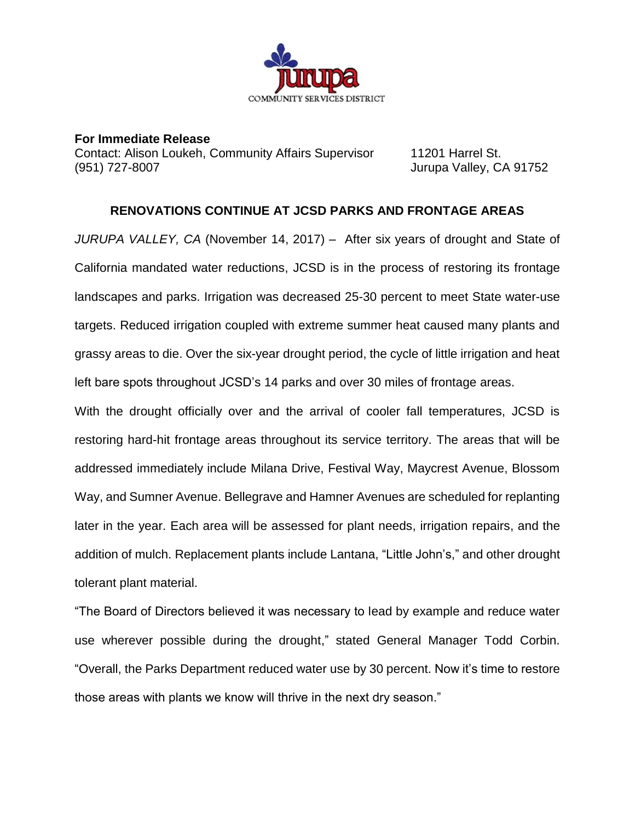

**For Immediate Release** Contact: Alison Loukeh, Community Affairs Supervisor 11201 Harrel St. (951) 727-8007 Jurupa Valley, CA 91752

## **RENOVATIONS CONTINUE AT JCSD PARKS AND FRONTAGE AREAS**

*JURUPA VALLEY, CA* (November 14, 2017) – After six years of drought and State of California mandated water reductions, JCSD is in the process of restoring its frontage landscapes and parks. Irrigation was decreased 25-30 percent to meet State water-use targets. Reduced irrigation coupled with extreme summer heat caused many plants and grassy areas to die. Over the six-year drought period, the cycle of little irrigation and heat left bare spots throughout JCSD's 14 parks and over 30 miles of frontage areas.

With the drought officially over and the arrival of cooler fall temperatures, JCSD is restoring hard-hit frontage areas throughout its service territory. The areas that will be addressed immediately include Milana Drive, Festival Way, Maycrest Avenue, Blossom Way, and Sumner Avenue. Bellegrave and Hamner Avenues are scheduled for replanting later in the year. Each area will be assessed for plant needs, irrigation repairs, and the addition of mulch. Replacement plants include Lantana, "Little John's," and other drought tolerant plant material.

"The Board of Directors believed it was necessary to lead by example and reduce water use wherever possible during the drought," stated General Manager Todd Corbin. "Overall, the Parks Department reduced water use by 30 percent. Now it's time to restore those areas with plants we know will thrive in the next dry season."